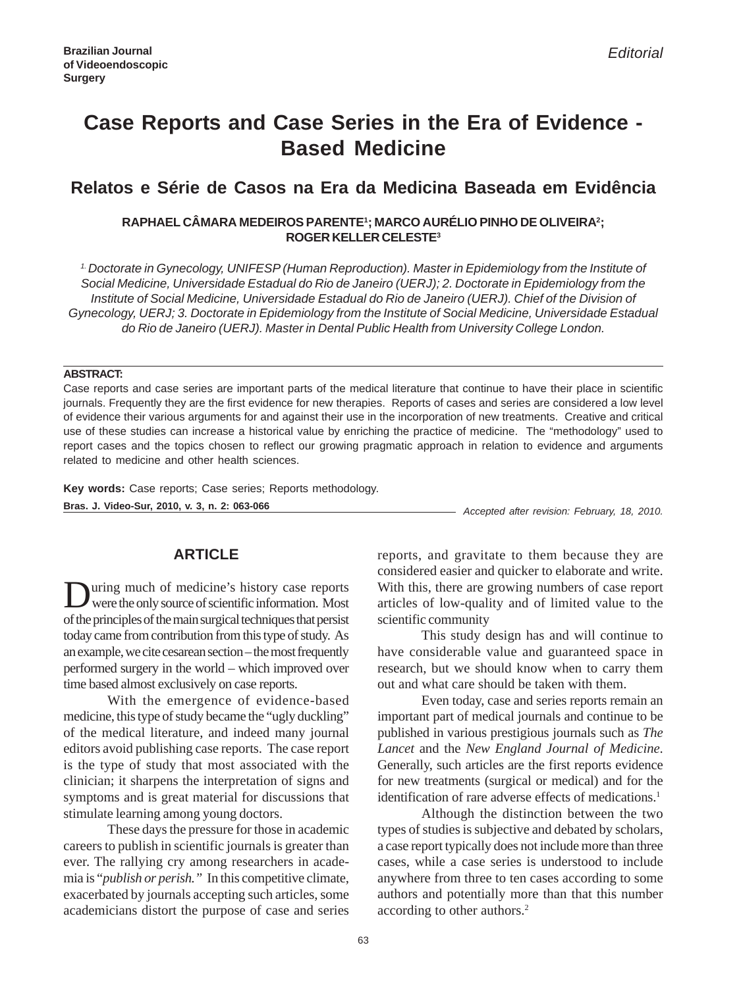# **Case Reports and Case Series in the Era of Evidence - Based Medicine**

# **Relatos e Série de Casos na Era da Medicina Baseada em Evidência**

### **RAPHAEL CÂMARA MEDEIROS PARENTE1 ; MARCO AURÉLIO PINHO DE OLIVEIRA2 ; ROGER KELLER CELESTE3**

*1. Doctorate in Gynecology, UNIFESP (Human Reproduction). Master in Epidemiology from the Institute of Social Medicine, Universidade Estadual do Rio de Janeiro (UERJ); 2. Doctorate in Epidemiology from the Institute of Social Medicine, Universidade Estadual do Rio de Janeiro (UERJ). Chief of the Division of Gynecology, UERJ; 3. Doctorate in Epidemiology from the Institute of Social Medicine, Universidade Estadual do Rio de Janeiro (UERJ). Master in Dental Public Health from University College London.*

### **ABSTRACT:**

Case reports and case series are important parts of the medical literature that continue to have their place in scientific journals. Frequently they are the first evidence for new therapies. Reports of cases and series are considered a low level of evidence their various arguments for and against their use in the incorporation of new treatments. Creative and critical use of these studies can increase a historical value by enriching the practice of medicine. The "methodology" used to report cases and the topics chosen to reflect our growing pragmatic approach in relation to evidence and arguments related to medicine and other health sciences.

*Accepted after revision: February, 18, 2010.* **Bras. J. Video-Sur, 2010, v. 3, n. 2: 063-066 Key words:** Case reports; Case series; Reports methodology.

## **ARTICLE**

During much of medicine's history case reports were the only source of scientific information. Most of the principles of the main surgical techniques that persist today came from contribution from this type of study. As an example, we cite cesarean section – the most frequently performed surgery in the world – which improved over time based almost exclusively on case reports.

With the emergence of evidence-based medicine, this type of study became the "ugly duckling" of the medical literature, and indeed many journal editors avoid publishing case reports. The case report is the type of study that most associated with the clinician; it sharpens the interpretation of signs and symptoms and is great material for discussions that stimulate learning among young doctors.

These days the pressure for those in academic careers to publish in scientific journals is greater than ever. The rallying cry among researchers in academia is "*publish or perish."* In this competitive climate, exacerbated by journals accepting such articles, some academicians distort the purpose of case and series reports, and gravitate to them because they are considered easier and quicker to elaborate and write. With this, there are growing numbers of case report articles of low-quality and of limited value to the scientific community

This study design has and will continue to have considerable value and guaranteed space in research, but we should know when to carry them out and what care should be taken with them.

Even today, case and series reports remain an important part of medical journals and continue to be published in various prestigious journals such as *The Lancet* and the *New England Journal of Medicine*. Generally, such articles are the first reports evidence for new treatments (surgical or medical) and for the identification of rare adverse effects of medications.<sup>1</sup>

Although the distinction between the two types of studies is subjective and debated by scholars, a case report typically does not include more than three cases, while a case series is understood to include anywhere from three to ten cases according to some authors and potentially more than that this number according to other authors.<sup>2</sup>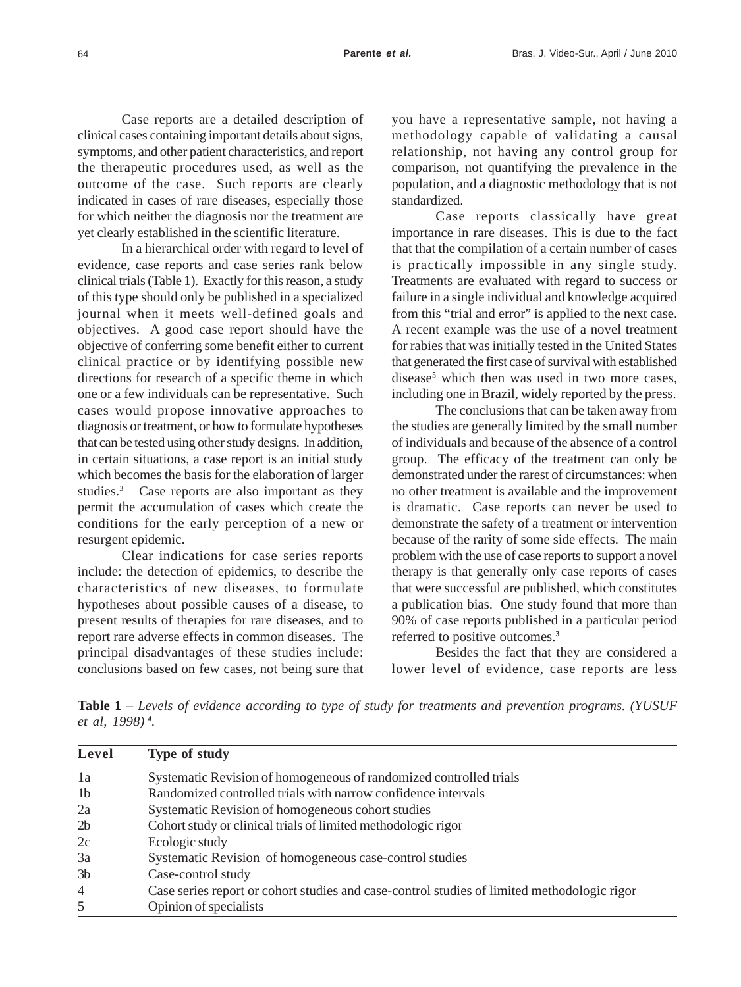Case reports are a detailed description of clinical cases containing important details about signs, symptoms, and other patient characteristics, and report the therapeutic procedures used, as well as the outcome of the case. Such reports are clearly indicated in cases of rare diseases, especially those for which neither the diagnosis nor the treatment are yet clearly established in the scientific literature.

In a hierarchical order with regard to level of evidence, case reports and case series rank below clinical trials (Table 1). Exactly for this reason, a study of this type should only be published in a specialized journal when it meets well-defined goals and objectives. A good case report should have the objective of conferring some benefit either to current clinical practice or by identifying possible new directions for research of a specific theme in which one or a few individuals can be representative. Such cases would propose innovative approaches to diagnosis or treatment, or how to formulate hypotheses that can be tested using other study designs. In addition, in certain situations, a case report is an initial study which becomes the basis for the elaboration of larger studies.<sup>3</sup> Case reports are also important as they permit the accumulation of cases which create the conditions for the early perception of a new or resurgent epidemic.

Clear indications for case series reports include: the detection of epidemics, to describe the characteristics of new diseases, to formulate hypotheses about possible causes of a disease, to present results of therapies for rare diseases, and to report rare adverse effects in common diseases. The principal disadvantages of these studies include: conclusions based on few cases, not being sure that you have a representative sample, not having a methodology capable of validating a causal relationship, not having any control group for comparison, not quantifying the prevalence in the population, and a diagnostic methodology that is not standardized.

Case reports classically have great importance in rare diseases. This is due to the fact that that the compilation of a certain number of cases is practically impossible in any single study. Treatments are evaluated with regard to success or failure in a single individual and knowledge acquired from this "trial and error" is applied to the next case. A recent example was the use of a novel treatment for rabies that was initially tested in the United States that generated the first case of survival with established disease<sup>5</sup> which then was used in two more cases, including one in Brazil, widely reported by the press.

The conclusions that can be taken away from the studies are generally limited by the small number of individuals and because of the absence of a control group. The efficacy of the treatment can only be demonstrated under the rarest of circumstances: when no other treatment is available and the improvement is dramatic. Case reports can never be used to demonstrate the safety of a treatment or intervention because of the rarity of some side effects. The main problem with the use of case reports to support a novel therapy is that generally only case reports of cases that were successful are published, which constitutes a publication bias. One study found that more than 90% of case reports published in a particular period referred to positive outcomes.**<sup>3</sup>**

Besides the fact that they are considered a lower level of evidence, case reports are less

**Table 1** – *Levels of evidence according to type of study for treatments and prevention programs. (YUSUF et al, 1998)<sup>4</sup>.*

| Level          | Type of study                                                                               |
|----------------|---------------------------------------------------------------------------------------------|
| 1a             | Systematic Revision of homogeneous of randomized controlled trials                          |
| 1 <sub>b</sub> | Randomized controlled trials with narrow confidence intervals                               |
| 2a             | Systematic Revision of homogeneous cohort studies                                           |
| 2 <sub>b</sub> | Cohort study or clinical trials of limited methodologic rigor                               |
| 2c             | Ecologic study                                                                              |
| 3a             | Systematic Revision of homogeneous case-control studies                                     |
| 3 <sub>b</sub> | Case-control study                                                                          |
| $\overline{4}$ | Case series report or cohort studies and case-control studies of limited methodologic rigor |
| 5              | Opinion of specialists                                                                      |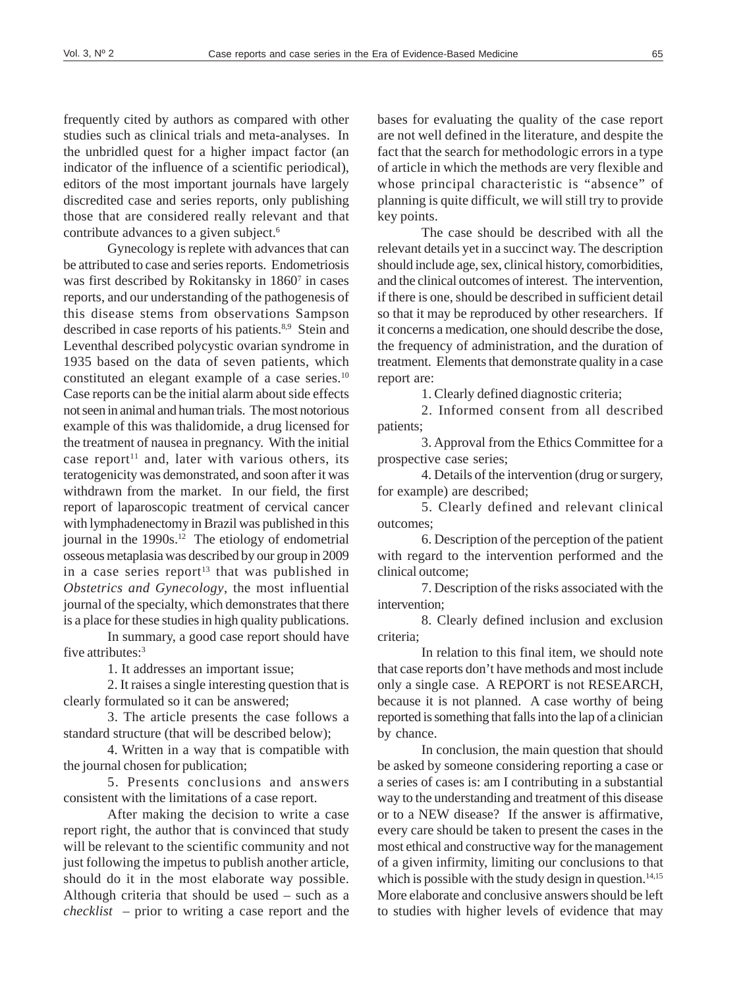frequently cited by authors as compared with other studies such as clinical trials and meta-analyses. In the unbridled quest for a higher impact factor (an indicator of the influence of a scientific periodical), editors of the most important journals have largely discredited case and series reports, only publishing those that are considered really relevant and that contribute advances to a given subject.<sup>6</sup>

Gynecology is replete with advances that can be attributed to case and series reports. Endometriosis was first described by Rokitansky in 1860<sup>7</sup> in cases reports, and our understanding of the pathogenesis of this disease stems from observations Sampson described in case reports of his patients.<sup>8,9</sup> Stein and Leventhal described polycystic ovarian syndrome in 1935 based on the data of seven patients, which constituted an elegant example of a case series.<sup>10</sup> Case reports can be the initial alarm about side effects not seen in animal and human trials. The most notorious example of this was thalidomide, a drug licensed for the treatment of nausea in pregnancy. With the initial case report<sup>11</sup> and, later with various others, its teratogenicity was demonstrated, and soon after it was withdrawn from the market. In our field, the first report of laparoscopic treatment of cervical cancer with lymphadenectomy in Brazil was published in this journal in the  $1990s$ .<sup>12</sup> The etiology of endometrial osseous metaplasia was described by our group in 2009 in a case series report<sup>13</sup> that was published in *Obstetrics and Gynecology*, the most influential journal of the specialty, which demonstrates that there is a place for these studies in high quality publications.

In summary, a good case report should have five attributes:<sup>3</sup>

1. It addresses an important issue;

2. It raises a single interesting question that is clearly formulated so it can be answered;

3. The article presents the case follows a standard structure (that will be described below);

4. Written in a way that is compatible with the journal chosen for publication;

5. Presents conclusions and answers consistent with the limitations of a case report.

After making the decision to write a case report right, the author that is convinced that study will be relevant to the scientific community and not just following the impetus to publish another article, should do it in the most elaborate way possible. Although criteria that should be used – such as a *checklist* – prior to writing a case report and the

bases for evaluating the quality of the case report are not well defined in the literature, and despite the fact that the search for methodologic errors in a type of article in which the methods are very flexible and whose principal characteristic is "absence" of planning is quite difficult, we will still try to provide key points.

The case should be described with all the relevant details yet in a succinct way. The description should include age, sex, clinical history, comorbidities, and the clinical outcomes of interest. The intervention, if there is one, should be described in sufficient detail so that it may be reproduced by other researchers. If it concerns a medication, one should describe the dose, the frequency of administration, and the duration of treatment. Elements that demonstrate quality in a case report are:

1. Clearly defined diagnostic criteria;

2. Informed consent from all described patients;

3. Approval from the Ethics Committee for a prospective case series;

4. Details of the intervention (drug or surgery, for example) are described;

5. Clearly defined and relevant clinical outcomes;

6. Description of the perception of the patient with regard to the intervention performed and the clinical outcome;

7. Description of the risks associated with the intervention;

8. Clearly defined inclusion and exclusion criteria;

In relation to this final item, we should note that case reports don't have methods and most include only a single case. A REPORT is not RESEARCH, because it is not planned. A case worthy of being reported is something that falls into the lap of a clinician by chance.

In conclusion, the main question that should be asked by someone considering reporting a case or a series of cases is: am I contributing in a substantial way to the understanding and treatment of this disease or to a NEW disease? If the answer is affirmative, every care should be taken to present the cases in the most ethical and constructive way for the management of a given infirmity, limiting our conclusions to that which is possible with the study design in question.<sup>14,15</sup> More elaborate and conclusive answers should be left to studies with higher levels of evidence that may